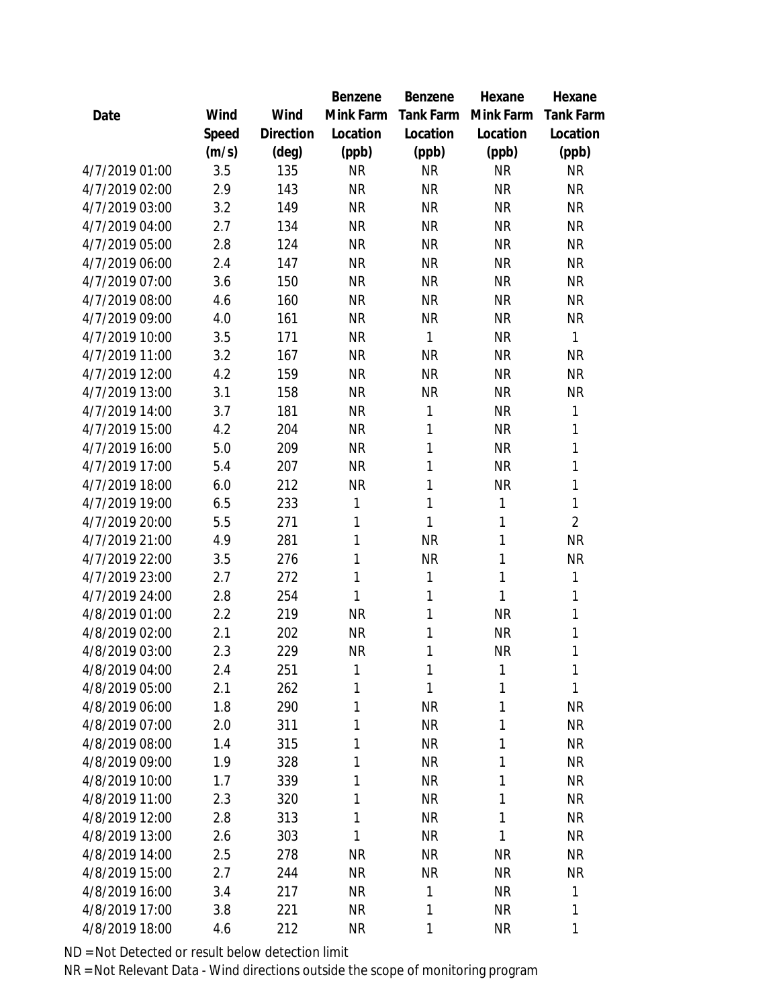|                |       |           | Benzene      | Benzene   | Hexane       | Hexane           |
|----------------|-------|-----------|--------------|-----------|--------------|------------------|
| Date           | Wind  | Wind      | Mink Farm    | Tank Farm | Mink Farm    | <b>Tank Farm</b> |
|                | Speed | Direction | Location     | Location  | Location     | Location         |
|                | (m/s) | (deg)     | (ppb)        | (ppb)     | (ppb)        | (ppb)            |
| 4/7/2019 01:00 | 3.5   | 135       | <b>NR</b>    | <b>NR</b> | <b>NR</b>    | <b>NR</b>        |
| 4/7/2019 02:00 | 2.9   | 143       | <b>NR</b>    | <b>NR</b> | <b>NR</b>    | <b>NR</b>        |
| 4/7/2019 03:00 | 3.2   | 149       | <b>NR</b>    | <b>NR</b> | <b>NR</b>    | <b>NR</b>        |
| 4/7/2019 04:00 | 2.7   | 134       | <b>NR</b>    | <b>NR</b> | <b>NR</b>    | <b>NR</b>        |
| 4/7/2019 05:00 | 2.8   | 124       | <b>NR</b>    | <b>NR</b> | <b>NR</b>    | <b>NR</b>        |
| 4/7/2019 06:00 | 2.4   | 147       | <b>NR</b>    | <b>NR</b> | <b>NR</b>    | <b>NR</b>        |
| 4/7/2019 07:00 | 3.6   | 150       | <b>NR</b>    | <b>NR</b> | <b>NR</b>    | <b>NR</b>        |
| 4/7/2019 08:00 | 4.6   | 160       | <b>NR</b>    | <b>NR</b> | <b>NR</b>    | <b>NR</b>        |
| 4/7/2019 09:00 | 4.0   | 161       | <b>NR</b>    | <b>NR</b> | <b>NR</b>    | <b>NR</b>        |
| 4/7/2019 10:00 | 3.5   | 171       | <b>NR</b>    | 1         | <b>NR</b>    | 1                |
| 4/7/2019 11:00 | 3.2   | 167       | <b>NR</b>    | <b>NR</b> | <b>NR</b>    | <b>NR</b>        |
| 4/7/2019 12:00 | 4.2   | 159       | <b>NR</b>    | <b>NR</b> | <b>NR</b>    | <b>NR</b>        |
| 4/7/2019 13:00 | 3.1   | 158       | <b>NR</b>    | <b>NR</b> | <b>NR</b>    | <b>NR</b>        |
| 4/7/2019 14:00 | 3.7   | 181       | <b>NR</b>    | 1         | <b>NR</b>    | 1                |
| 4/7/2019 15:00 | 4.2   | 204       | <b>NR</b>    | 1         | <b>NR</b>    | 1                |
| 4/7/2019 16:00 | 5.0   | 209       | <b>NR</b>    | 1         | <b>NR</b>    | 1                |
| 4/7/2019 17:00 | 5.4   | 207       | <b>NR</b>    | 1         | <b>NR</b>    | 1                |
| 4/7/2019 18:00 | 6.0   | 212       | <b>NR</b>    | 1         | <b>NR</b>    | 1                |
| 4/7/2019 19:00 | 6.5   | 233       | 1            | 1         | 1            | 1                |
| 4/7/2019 20:00 | 5.5   | 271       | 1            | 1         | 1            | $\overline{2}$   |
| 4/7/2019 21:00 | 4.9   | 281       | $\mathbf{1}$ | <b>NR</b> | 1            | <b>NR</b>        |
| 4/7/2019 22:00 | 3.5   | 276       | 1            | <b>NR</b> | 1            | <b>NR</b>        |
| 4/7/2019 23:00 | 2.7   | 272       | 1            | 1         | $\mathbf{1}$ | 1                |
| 4/7/2019 24:00 | 2.8   | 254       | 1            | 1         | $\mathbf{1}$ | 1                |
| 4/8/2019 01:00 | 2.2   | 219       | <b>NR</b>    | 1         | <b>NR</b>    | 1                |
| 4/8/2019 02:00 | 2.1   | 202       | <b>NR</b>    | 1         | <b>NR</b>    | 1                |
| 4/8/2019 03:00 | 2.3   | 229       | <b>NR</b>    | 1         | <b>NR</b>    | 1                |
| 4/8/2019 04:00 | 2.4   | 251       | 1            | 1         | 1            | 1                |
| 4/8/2019 05:00 | 2.1   | 262       | 1            | 1         | 1            | 1                |
| 4/8/2019 06:00 | 1.8   | 290       | 1            | <b>NR</b> | 1            | <b>NR</b>        |
| 4/8/2019 07:00 | 2.0   | 311       | 1            | <b>NR</b> | 1            | <b>NR</b>        |
| 4/8/2019 08:00 | 1.4   | 315       | 1            | <b>NR</b> | 1            | <b>NR</b>        |
| 4/8/2019 09:00 | 1.9   | 328       | 1            | <b>NR</b> | 1            | <b>NR</b>        |
| 4/8/2019 10:00 | 1.7   | 339       | 1            | <b>NR</b> | 1            | <b>NR</b>        |
| 4/8/2019 11:00 | 2.3   | 320       | 1            | <b>NR</b> | 1            | <b>NR</b>        |
| 4/8/2019 12:00 | 2.8   | 313       | 1            | <b>NR</b> | 1            | <b>NR</b>        |
| 4/8/2019 13:00 | 2.6   | 303       | 1            | <b>NR</b> | 1            | <b>NR</b>        |
| 4/8/2019 14:00 | 2.5   | 278       | <b>NR</b>    | <b>NR</b> | <b>NR</b>    | <b>NR</b>        |
| 4/8/2019 15:00 | 2.7   | 244       | <b>NR</b>    | <b>NR</b> | <b>NR</b>    | <b>NR</b>        |
| 4/8/2019 16:00 | 3.4   | 217       | <b>NR</b>    | 1         | <b>NR</b>    | 1                |
| 4/8/2019 17:00 | 3.8   | 221       | <b>NR</b>    | 1         | <b>NR</b>    | 1                |
| 4/8/2019 18:00 | 4.6   | 212       | <b>NR</b>    | 1         | <b>NR</b>    | 1                |
|                |       |           |              |           |              |                  |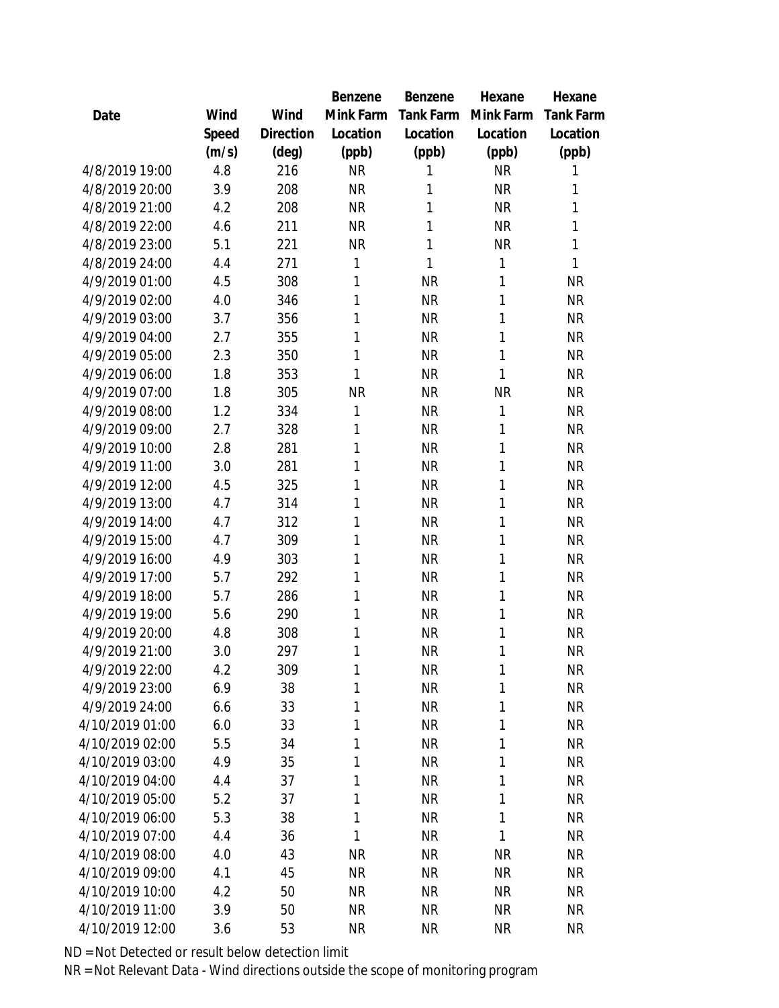|                 |       |           | Benzene   | Benzene   | Hexane    | Hexane           |
|-----------------|-------|-----------|-----------|-----------|-----------|------------------|
| Date            | Wind  | Wind      | Mink Farm | Tank Farm | Mink Farm | <b>Tank Farm</b> |
|                 | Speed | Direction | Location  | Location  | Location  | Location         |
|                 | (m/s) | (deg)     | (ppb)     | (ppb)     | (ppb)     | (ppb)            |
| 4/8/2019 19:00  | 4.8   | 216       | <b>NR</b> | 1         | <b>NR</b> | 1                |
| 4/8/2019 20:00  | 3.9   | 208       | <b>NR</b> | 1         | <b>NR</b> | 1                |
| 4/8/2019 21:00  | 4.2   | 208       | <b>NR</b> | 1         | <b>NR</b> | 1                |
| 4/8/2019 22:00  | 4.6   | 211       | <b>NR</b> | 1         | <b>NR</b> | 1                |
| 4/8/2019 23:00  | 5.1   | 221       | <b>NR</b> | 1         | <b>NR</b> | 1                |
| 4/8/2019 24:00  | 4.4   | 271       | 1         | 1         | 1         | 1                |
| 4/9/2019 01:00  | 4.5   | 308       | 1         | <b>NR</b> | 1         | <b>NR</b>        |
| 4/9/2019 02:00  | 4.0   | 346       | 1         | <b>NR</b> | 1         | <b>NR</b>        |
| 4/9/2019 03:00  | 3.7   | 356       | 1         | <b>NR</b> | 1         | <b>NR</b>        |
| 4/9/2019 04:00  | 2.7   | 355       | 1         | <b>NR</b> | 1         | <b>NR</b>        |
| 4/9/2019 05:00  | 2.3   | 350       | 1         | <b>NR</b> | 1         | <b>NR</b>        |
| 4/9/2019 06:00  | 1.8   | 353       | 1         | <b>NR</b> | 1         | <b>NR</b>        |
| 4/9/2019 07:00  | 1.8   | 305       | <b>NR</b> | <b>NR</b> | <b>NR</b> | <b>NR</b>        |
| 4/9/2019 08:00  | 1.2   | 334       | 1         | <b>NR</b> | 1         | <b>NR</b>        |
| 4/9/2019 09:00  | 2.7   | 328       | 1         | <b>NR</b> | 1         | <b>NR</b>        |
| 4/9/2019 10:00  | 2.8   | 281       | 1         | <b>NR</b> | 1         | <b>NR</b>        |
| 4/9/2019 11:00  | 3.0   | 281       | 1         | <b>NR</b> | 1         | <b>NR</b>        |
| 4/9/2019 12:00  | 4.5   | 325       | 1         | <b>NR</b> | 1         | <b>NR</b>        |
| 4/9/2019 13:00  | 4.7   | 314       | 1         | <b>NR</b> | 1         | <b>NR</b>        |
| 4/9/2019 14:00  | 4.7   | 312       | 1         | <b>NR</b> | 1         | ΝR               |
| 4/9/2019 15:00  | 4.7   | 309       | 1         | <b>NR</b> | 1         | <b>NR</b>        |
| 4/9/2019 16:00  | 4.9   | 303       | 1         | <b>NR</b> | 1         | <b>NR</b>        |
| 4/9/2019 17:00  | 5.7   | 292       | 1         | <b>NR</b> | 1         | <b>NR</b>        |
| 4/9/2019 18:00  | 5.7   | 286       | 1         | <b>NR</b> | 1         | <b>NR</b>        |
| 4/9/2019 19:00  | 5.6   | 290       | 1         | <b>NR</b> | 1         | <b>NR</b>        |
| 4/9/2019 20:00  | 4.8   | 308       | 1         | <b>NR</b> | 1         | <b>NR</b>        |
| 4/9/2019 21:00  | 3.0   | 297       | 1         | <b>NR</b> | 1         | <b>NR</b>        |
| 4/9/2019 22:00  | 4.2   | 309       | 1         | <b>NR</b> | 1         | <b>NR</b>        |
| 4/9/2019 23:00  | 6.9   | 38        | 1         | <b>NR</b> | 1         | <b>NR</b>        |
| 4/9/2019 24:00  | 6.6   | 33        | 1         | <b>NR</b> | 1         | <b>NR</b>        |
| 4/10/2019 01:00 | 6.0   | 33        | 1         | <b>NR</b> | 1         | <b>NR</b>        |
| 4/10/2019 02:00 | 5.5   | 34        | 1         | <b>NR</b> | 1         | <b>NR</b>        |
| 4/10/2019 03:00 | 4.9   | 35        | 1         | <b>NR</b> | 1         | <b>NR</b>        |
| 4/10/2019 04:00 | 4.4   | 37        | 1         | <b>NR</b> | 1         | <b>NR</b>        |
| 4/10/2019 05:00 | 5.2   | 37        | 1         | <b>NR</b> | 1         | <b>NR</b>        |
| 4/10/2019 06:00 | 5.3   | 38        | 1         | <b>NR</b> | 1         | <b>NR</b>        |
| 4/10/2019 07:00 | 4.4   | 36        | 1         | <b>NR</b> | 1         | <b>NR</b>        |
| 4/10/2019 08:00 | 4.0   | 43        | <b>NR</b> | <b>NR</b> | <b>NR</b> | <b>NR</b>        |
| 4/10/2019 09:00 | 4.1   | 45        | <b>NR</b> | <b>NR</b> | <b>NR</b> | <b>NR</b>        |
| 4/10/2019 10:00 | 4.2   | 50        | <b>NR</b> | <b>NR</b> | <b>NR</b> | <b>NR</b>        |
| 4/10/2019 11:00 | 3.9   | 50        | <b>NR</b> | <b>NR</b> | <b>NR</b> | <b>NR</b>        |
| 4/10/2019 12:00 | 3.6   | 53        | <b>NR</b> | <b>NR</b> | <b>NR</b> | <b>NR</b>        |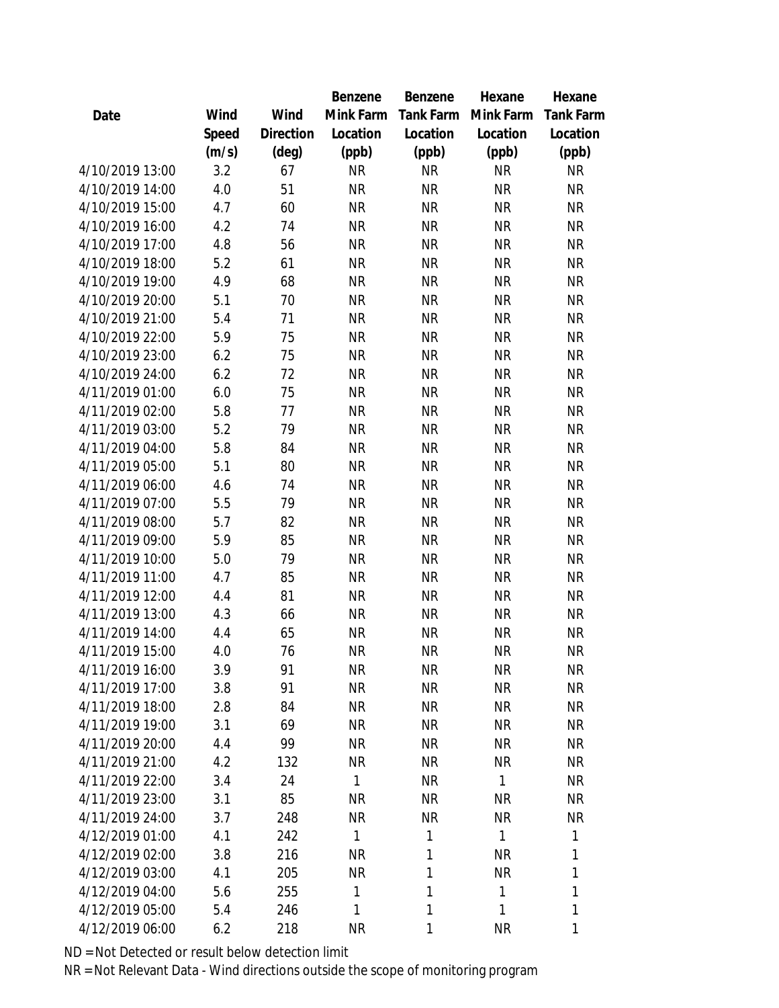|                 |       |                | Benzene      | Benzene   | Hexane       | Hexane           |
|-----------------|-------|----------------|--------------|-----------|--------------|------------------|
| Date            | Wind  | Wind           | Mink Farm    | Tank Farm | Mink Farm    | <b>Tank Farm</b> |
|                 | Speed | Direction      | Location     | Location  | Location     | Location         |
|                 | (m/s) | $(\text{deg})$ | (ppb)        | (ppb)     | (ppb)        | (ppb)            |
| 4/10/2019 13:00 | 3.2   | 67             | <b>NR</b>    | <b>NR</b> | <b>NR</b>    | <b>NR</b>        |
| 4/10/2019 14:00 | 4.0   | 51             | <b>NR</b>    | <b>NR</b> | <b>NR</b>    | <b>NR</b>        |
| 4/10/2019 15:00 | 4.7   | 60             | <b>NR</b>    | <b>NR</b> | <b>NR</b>    | <b>NR</b>        |
| 4/10/2019 16:00 | 4.2   | 74             | <b>NR</b>    | <b>NR</b> | <b>NR</b>    | <b>NR</b>        |
| 4/10/2019 17:00 | 4.8   | 56             | <b>NR</b>    | <b>NR</b> | <b>NR</b>    | <b>NR</b>        |
| 4/10/2019 18:00 | 5.2   | 61             | <b>NR</b>    | <b>NR</b> | <b>NR</b>    | <b>NR</b>        |
| 4/10/2019 19:00 | 4.9   | 68             | <b>NR</b>    | <b>NR</b> | <b>NR</b>    | <b>NR</b>        |
| 4/10/2019 20:00 | 5.1   | 70             | <b>NR</b>    | <b>NR</b> | <b>NR</b>    | <b>NR</b>        |
| 4/10/2019 21:00 | 5.4   | 71             | <b>NR</b>    | <b>NR</b> | <b>NR</b>    | <b>NR</b>        |
| 4/10/2019 22:00 | 5.9   | 75             | <b>NR</b>    | <b>NR</b> | <b>NR</b>    | <b>NR</b>        |
| 4/10/2019 23:00 | 6.2   | 75             | <b>NR</b>    | <b>NR</b> | <b>NR</b>    | <b>NR</b>        |
| 4/10/2019 24:00 | 6.2   | 72             | <b>NR</b>    | <b>NR</b> | <b>NR</b>    | <b>NR</b>        |
| 4/11/2019 01:00 | 6.0   | 75             | <b>NR</b>    | <b>NR</b> | <b>NR</b>    | <b>NR</b>        |
| 4/11/2019 02:00 | 5.8   | 77             | <b>NR</b>    | <b>NR</b> | <b>NR</b>    | <b>NR</b>        |
| 4/11/2019 03:00 | 5.2   | 79             | <b>NR</b>    | <b>NR</b> | <b>NR</b>    | <b>NR</b>        |
| 4/11/2019 04:00 | 5.8   | 84             | <b>NR</b>    | <b>NR</b> | <b>NR</b>    | <b>NR</b>        |
| 4/11/2019 05:00 | 5.1   | 80             | <b>NR</b>    | <b>NR</b> | <b>NR</b>    | <b>NR</b>        |
| 4/11/2019 06:00 | 4.6   | 74             | <b>NR</b>    | <b>NR</b> | <b>NR</b>    | <b>NR</b>        |
| 4/11/2019 07:00 | 5.5   | 79             | <b>NR</b>    | <b>NR</b> | <b>NR</b>    | <b>NR</b>        |
| 4/11/2019 08:00 | 5.7   | 82             | <b>NR</b>    | <b>NR</b> | <b>NR</b>    | <b>NR</b>        |
| 4/11/2019 09:00 | 5.9   | 85             | <b>NR</b>    | <b>NR</b> | <b>NR</b>    | <b>NR</b>        |
| 4/11/2019 10:00 | 5.0   | 79             | <b>NR</b>    | <b>NR</b> | <b>NR</b>    | <b>NR</b>        |
| 4/11/2019 11:00 | 4.7   | 85             | <b>NR</b>    | <b>NR</b> | <b>NR</b>    | <b>NR</b>        |
| 4/11/2019 12:00 | 4.4   | 81             | <b>NR</b>    | <b>NR</b> | <b>NR</b>    | <b>NR</b>        |
| 4/11/2019 13:00 | 4.3   | 66             | <b>NR</b>    | <b>NR</b> | <b>NR</b>    | <b>NR</b>        |
| 4/11/2019 14:00 | 4.4   | 65             | <b>NR</b>    | <b>NR</b> | <b>NR</b>    | <b>NR</b>        |
| 4/11/2019 15:00 | 4.0   | 76             | <b>NR</b>    | <b>NR</b> | <b>NR</b>    | <b>NR</b>        |
| 4/11/2019 16:00 | 3.9   | 91             | <b>NR</b>    | <b>NR</b> | <b>NR</b>    | <b>NR</b>        |
| 4/11/2019 17:00 | 3.8   | 91             | <b>NR</b>    | <b>NR</b> | <b>NR</b>    | <b>NR</b>        |
| 4/11/2019 18:00 | 2.8   | 84             | <b>NR</b>    | <b>NR</b> | <b>NR</b>    | <b>NR</b>        |
| 4/11/2019 19:00 | 3.1   | 69             | <b>NR</b>    | <b>NR</b> | <b>NR</b>    | <b>NR</b>        |
| 4/11/2019 20:00 | 4.4   | 99             | <b>NR</b>    | <b>NR</b> | <b>NR</b>    | <b>NR</b>        |
| 4/11/2019 21:00 | 4.2   | 132            | <b>NR</b>    | <b>NR</b> | <b>NR</b>    | NR               |
| 4/11/2019 22:00 | 3.4   | 24             | $\mathbf{1}$ | <b>NR</b> | $\mathbf{1}$ | <b>NR</b>        |
| 4/11/2019 23:00 | 3.1   | 85             | <b>NR</b>    | <b>NR</b> | <b>NR</b>    | NR.              |
| 4/11/2019 24:00 | 3.7   | 248            | <b>NR</b>    | <b>NR</b> | <b>NR</b>    | <b>NR</b>        |
| 4/12/2019 01:00 | 4.1   | 242            | 1            | 1         | $\mathbf{1}$ | 1                |
| 4/12/2019 02:00 | 3.8   | 216            | <b>NR</b>    | 1         | <b>NR</b>    | 1                |
| 4/12/2019 03:00 | 4.1   | 205            | <b>NR</b>    | 1         | <b>NR</b>    | 1                |
| 4/12/2019 04:00 | 5.6   | 255            | $\mathbf{1}$ | 1         | $\mathbf{1}$ | 1                |
| 4/12/2019 05:00 | 5.4   | 246            | 1            | 1         | $\mathbf{1}$ | 1                |
| 4/12/2019 06:00 | 6.2   | 218            | <b>NR</b>    | 1         | <b>NR</b>    | 1                |